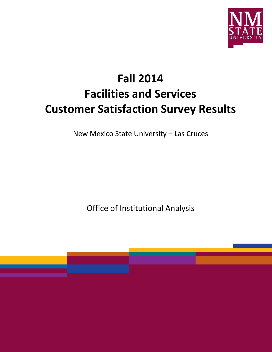

# **Fall 2014 Facilities and Services Customer Satisfaction Survey Results**

New Mexico State University – Las Cruces

Office of Institutional Analysis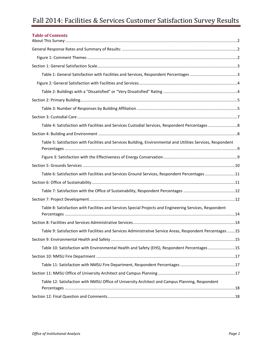# Fall 2014: Facilities & Services Customer Satisfaction Survey Results

| <b>Table of Contents</b>                                                                                      |  |
|---------------------------------------------------------------------------------------------------------------|--|
|                                                                                                               |  |
|                                                                                                               |  |
|                                                                                                               |  |
|                                                                                                               |  |
|                                                                                                               |  |
|                                                                                                               |  |
|                                                                                                               |  |
|                                                                                                               |  |
|                                                                                                               |  |
|                                                                                                               |  |
|                                                                                                               |  |
| Table 5: Satisfaction with Facilities and Services Building, Environmental and Utilities Services, Respondent |  |
|                                                                                                               |  |
|                                                                                                               |  |
| Table 6: Satisfaction with Facilities and Services Ground Services, Respondent Percentages11                  |  |
|                                                                                                               |  |
|                                                                                                               |  |
|                                                                                                               |  |
| Table 8: Satisfaction with Facilities and Services Special Projects and Engineering Services, Respondent      |  |
|                                                                                                               |  |
| Table 9: Satisfaction with Facilities and Services Administrative Service Areas, Respondent Percentages 15    |  |
|                                                                                                               |  |
| Table 10: Satisfaction with Environmental Health and Safety (EHS), Respondent Percentages 15                  |  |
|                                                                                                               |  |
|                                                                                                               |  |
|                                                                                                               |  |
| Table 12: Satisfaction with NMSU Office of University Architect and Campus Planning, Respondent               |  |
|                                                                                                               |  |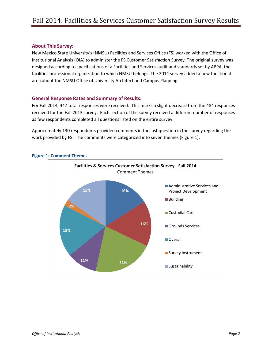## <span id="page-2-0"></span>**About This Survey:**

New Mexico State University's (NMSU) Facilities and Services Office (FS) worked with the Office of Institutional Analysis (OIA) to administer the FS Customer Satisfaction Survey. The original survey was designed according to specifications of a Facilities and Services audit and standards set by APPA, the facilities professional organization to which NMSU belongs. The 2014 survey added a new functional area about the NMSU Office of University Architect and Campus Planning.

#### <span id="page-2-1"></span>**General Response Rates and Summary of Results:**

For Fall 2014, 447 total responses were received. This marks a slight decrease from the 484 responses received for the Fall 2013 survey. Each section of the survey received a different number of responses as few respondents completed all questions listed on the entire survey.

Approximately 130 respondents provided comments in the last question in the survey regarding the work provided by FS. The comments were categorized into seven themes (Figure 1).



#### <span id="page-2-2"></span>**Figure 1: Comment Themes**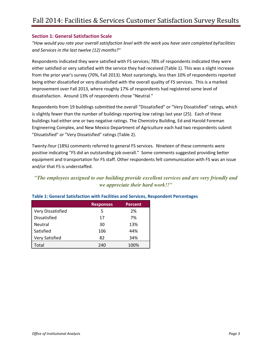# <span id="page-3-0"></span>**Section 1: General Satisfaction Scale**

*"How would you rate your overall satisfaction level with the work you have seen completed byFacilities and Services in the last twelve (12) months?"* 

Respondents indicated they were satisfied with FS services; 78% of respondents indicated they were either satisfied or very satisfied with the service they had received (Table 1). This was a slight increase from the prior year's survey (70%, Fall 2013). Most surprisingly, less than 10% of respondents reported being either dissatisfied or very dissatisfied with the overall quality of FS services. This is a marked improvement over Fall 2013, where roughly 17% of respondents had registered some level of dissatisfaction. Around 13% of respondents chose "Neutral."

Respondents from 19 buildings submitted the overall "Dissatisfied" or "Very Dissatisfied" ratings, which is slightly fewer than the number of buildings reporting low ratings last year (25). Each of these buildings had either one or two negative ratings. The Chemistry Building, Ed and Harold Foreman Engineering Complex, and New Mexico Department of Agriculture each had two respondents submit "Dissatisfied" or "Very Dissatisfied" ratings (Table 2).

Twenty-four (18%) comments referred to general FS services. Nineteen of these comments were positive indicating "FS did an outstanding job overall." Some comments suggested providing better equipment and transportation for FS staff. Other respondents felt communication with FS was an issue and/or that FS is understaffed.

# *"The employees assigned to our building provide excellent services and are very friendly and we appreciate their hard work!!"*

|                     | <b>Responses</b> | <b>Percent</b> |
|---------------------|------------------|----------------|
| Very Dissatisfied   | 5                | 2%             |
| <b>Dissatisfied</b> | 17               | 7%             |
| Neutral             | 30               | 13%            |
| Satisfied           | 106              | 44%            |
| Very Satisfied      | 82               | 34%            |
| Total               | 240              | 100%           |

# <span id="page-3-1"></span>**Table 1: General Satisfaction with Facilities and Services, Respondent Percentages**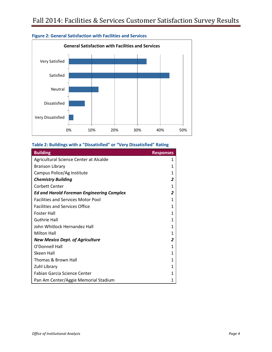

#### <span id="page-4-0"></span>**Figure 2: General Satisfaction with Facilities and Services**

# <span id="page-4-1"></span>**Table 2: Buildings with a "Dissatisfied" or "Very Dissatisfied" Rating**

| <b>Building</b>                                  | <b>Responses</b> |
|--------------------------------------------------|------------------|
| Agricultural Science Center at Alcalde           | 1                |
| <b>Branson Library</b>                           | 1                |
| Campus Police/Ag Institute                       | 1                |
| <b>Chemistry Building</b>                        | 2                |
| Corbett Center                                   | 1                |
| <b>Ed and Harold Foreman Engineering Complex</b> | 2                |
| <b>Facilities and Services Motor Pool</b>        | $\mathbf{1}$     |
| <b>Facilities and Services Office</b>            | $\mathbf{1}$     |
| <b>Foster Hall</b>                               | 1                |
| Guthrie Hall                                     | 1                |
| John Whitlock Hernandez Hall                     | 1                |
| <b>Milton Hall</b>                               | 1                |
| <b>New Mexico Dept. of Agriculture</b>           | 2                |
| O'Donnell Hall                                   | 1                |
| Skeen Hall                                       | 1                |
| Thomas & Brown Hall                              | 1                |
| Zuhl Library                                     | 1                |
| Fabian Garcia Science Center                     | 1                |
| Pan Am Center/Aggie Memorial Stadium             | 1                |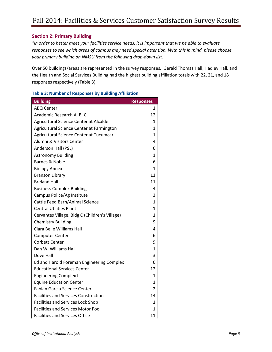# <span id="page-5-0"></span>**Section 2: Primary Building**

*"In order to better meet your facilities service needs, it is important that we be able to evaluate responses to see which areas of campus may need special attention. With this in mind, please choose your primary building on NMSU from the following drop-down list."* 

Over 50 buildings/areas are represented in the survey responses. Gerald Thomas Hall, Hadley Hall, and the Health and Social Services Building had the highest building affiliation totals with 22, 21, and 18 responses respectively (Table 3).

| <b>Building</b>                                | <b>Responses</b> |
|------------------------------------------------|------------------|
| <b>ABQ Center</b>                              | 1                |
| Academic Research A, B, C                      | 12               |
| Agricultural Science Center at Alcalde         | 1                |
| Agricultural Science Center at Farmington      | 1                |
| Agricultural Science Center at Tucumcari       | 1                |
| Alumni & Visitors Center                       | 4                |
| Anderson Hall (PSL)                            | 6                |
| <b>Astronomy Building</b>                      | 1                |
| Barnes & Noble                                 | 6                |
| <b>Biology Annex</b>                           | 1                |
| <b>Branson Library</b>                         | 11               |
| <b>Breland Hall</b>                            | 11               |
| <b>Business Complex Building</b>               | 4                |
| Campus Police/Ag Institute                     | 3                |
| Cattle Feed Barn/Animal Science                | 1                |
| <b>Central Utilities Plant</b>                 | 1                |
| Cervantes Village, Bldg C (Children's Village) | 1                |
| <b>Chemistry Building</b>                      | 9                |
| Clara Belle Williams Hall                      | 4                |
| <b>Computer Center</b>                         | 6                |
| <b>Corbett Center</b>                          | 9                |
| Dan W. Williams Hall                           | 1                |
| Dove Hall                                      | 3                |
| Ed and Harold Foreman Engineering Complex      | 6                |
| <b>Educational Services Center</b>             | 12               |
| <b>Engineering Complex I</b>                   | 1                |
| <b>Equine Education Center</b>                 | 1                |
| <b>Fabian Garcia Science Center</b>            | 2                |
| <b>Facilities and Services Construction</b>    | 14               |
| <b>Facilities and Services Lock Shop</b>       | 1                |
| <b>Facilities and Services Motor Pool</b>      | 1                |
| <b>Facilities and Services Office</b>          | 11               |

# <span id="page-5-1"></span>**Table 3: Number of Responses by Building Affiliation**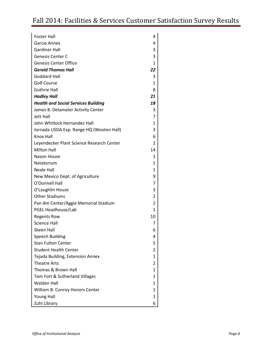| <b>Foster Hall</b>                         | 4              |
|--------------------------------------------|----------------|
| Garcia Annex                               | 4              |
| <b>Gardiner Hall</b>                       | 3              |
| <b>Genesis Center C</b>                    | 3              |
| <b>Genesis Center Office</b>               | 1              |
| <b>Gerald Thomas Hall</b>                  | 22             |
| <b>Goddard Hall</b>                        | 3              |
| <b>Golf Course</b>                         | 1              |
| <b>Guthrie Hall</b>                        | 8              |
| <b>Hadley Hall</b>                         | 21             |
| <b>Health and Social Services Building</b> | 18             |
| James B. Delamater Activity Center         | 3              |
| Jett Hall                                  | 7              |
| John Whitlock Hernandez Hall               | 1              |
| Jornada USDA Exp. Range HQ (Wooten Hall)   | 3              |
| Knox Hall                                  | 6              |
| Leyendecker Plant Science Research Center  | 2              |
| <b>Milton Hall</b>                         | 14             |
| Nason House                                | 1              |
| Natatorium                                 | 1              |
| <b>Neale Hall</b>                          | 1              |
| New Mexico Dept. of Agriculture            | 9              |
| O'Donnell Hall                             | $\overline{7}$ |
| O'Laughlin House                           | 3              |
| <b>Other Stadiums</b>                      | 2              |
| Pan Am Center/Aggie Memorial Stadium       | 2              |
| PGEL Headhouse/Lab                         | 1              |
| <b>Regents Row</b>                         | 10             |
| Science Hall                               | 7              |
| Skeen Hall                                 | 6              |
| <b>Speech Building</b>                     | 4              |
| <b>Stan Fulton Center</b>                  | 5              |
| <b>Student Health Center</b>               | 2              |
| Tejada Building, Extension Annex           | $\mathbf{1}$   |
| <b>Theatre Arts</b>                        | 2              |
| Thomas & Brown Hall                        | 1              |
| Tom Fort & Sutherland Villages             | 1              |
| <b>Walden Hall</b>                         | 1              |
| William B. Conroy Honors Center            | 1              |
| <b>Young Hall</b>                          | 1              |
| Zuhl Library                               | 6              |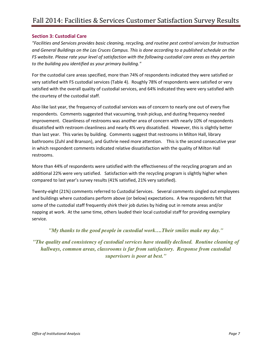# <span id="page-7-0"></span>**Section 3: Custodial Care**

*"Facilities and Services provides basic cleaning, recycling, and routine pest control services for Instruction and General Buildings on the Las Cruces Campus. This is done according to a published schedule on the FS website. Please rate your level of satisfaction with the following custodial care areas as they pertain to the building you identified as your primary building."* 

For the custodial care areas specified, more than 74% of respondents indicated they were satisfied or very satisfied with FS custodial services (Table 4). Roughly 78% of respondents were satisfied or very satisfied with the overall quality of custodial services, and 64% indicated they were very satisfied with the courtesy of the custodial staff.

Also like last year, the frequency of custodial services was of concern to nearly one out of every five respondents. Comments suggested that vacuuming, trash pickup, and dusting frequency needed improvement. Cleanliness of restrooms was another area of concern with nearly 10% of respondents dissatisfied with restroom cleanliness and nearly 4% very dissatisfied. However, this is slightly better than last year. This varies by building. Comments suggest that restrooms in Milton Hall, library bathrooms (Zuhl and Branson), and Guthrie need more attention. This is the second consecutive year in which respondent comments indicated relative dissatisfaction with the quality of Milton Hall restrooms.

More than 44% of respondents were satisfied with the effectiveness of the recycling program and an additional 22% were very satisfied. Satisfaction with the recycling program is slightly higher when compared to last year's survey results (41% satisfied, 21% very satisfied).

Twenty-eight (21%) comments referred to Custodial Services. Several comments singled out employees and buildings where custodians perform above (or below) expectations. A few respondents felt that some of the custodial staff frequently shirk their job duties by hiding out in remote areas and/or napping at work. At the same time, others lauded their local custodial staff for providing exemplary service.

*"My thanks to the good people in custodial work….Their smiles make my day."*

*"The quality and consistency of custodial services have steadily declined. Routine cleaning of hallways, common areas, classrooms is far from satisfactory. Response from custodial supervisors is poor at best."*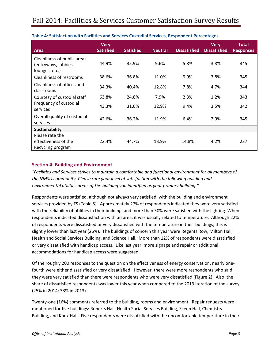| Area                                                                  | <b>Very</b><br><b>Satisfied</b> | <b>Satisfied</b> | <b>Neutral</b> | <b>Dissatisfied</b> | <b>Very</b><br><b>Dissatisfied</b> | <b>Total</b><br><b>Responses</b> |
|-----------------------------------------------------------------------|---------------------------------|------------------|----------------|---------------------|------------------------------------|----------------------------------|
| Cleanliness of public areas<br>(entryways, lobbies,<br>lounges, etc.) | 44.9%                           | 35.9%            | 9.6%           | 5.8%                | 3.8%                               | 345                              |
| Cleanliness of restrooms                                              | 38.6%                           | 36.8%            | 11.0%          | 9.9%                | 3.8%                               | 345                              |
| Cleanliness of offices and<br>classrooms                              | 34.3%                           | 40.4%            | 12.8%          | 7.8%                | 4.7%                               | 344                              |
| Courtesy of custodial staff                                           | 63.8%                           | 24.8%            | 7.9%           | 2.3%                | 1.2%                               | 343                              |
| Frequency of custodial<br>services                                    | 43.3%                           | 31.0%            | 12.9%          | 9.4%                | 3.5%                               | 342                              |
| Overall quality of custodial<br>services                              | 42.6%                           | 36.2%            | 11.9%          | 6.4%                | 2.9%                               | 345                              |
| <b>Sustainability</b>                                                 |                                 |                  |                |                     |                                    |                                  |
| Please rate the<br>effectiveness of the<br>Recycling program          | 22.4%                           | 44.7%            | 13.9%          | 14.8%               | 4.2%                               | 237                              |

## <span id="page-8-0"></span>**Table 4: Satisfaction with Facilities and Services Custodial Services, Respondent Percentages**

# <span id="page-8-1"></span>**Section 4: Building and Environment**

*"Facilities and Services strives to maintain a comfortable and functional environment for all members of the NMSU community. Please rate your level of satisfaction with the following building and environmental utilities areas of the building you identified as your primary building."* 

Respondents were satisfied, although not always very satisfied, with the building and environment services provided by FS (Table 5). Approximately 27% of respondents indicated they were very satisfied with the reliability of utilities in their building, and more than 50% were satisfied with the lighting. When respondents indicated dissatisfaction with an area, it was usually related to temperature. Although 22% of respondents were dissatisfied or very dissatisfied with the temperature in their buildings, this is slightly lower than last year (26%). The buildings of concern this year were Regents Row, Milton Hall, Health and Social Services Building, and Science Hall. More than 12% of respondents were dissatisfied or very dissatisfied with handicap access. Like last year, more signage and repair or additional accommodations for handicap access were suggested.

Of the roughly 200 responses to the question on the effectiveness of energy conservation, nearly onefourth were either dissatisfied or very dissatisfied. However, there were more respondents who said they were very satisfied than there were respondents who were very dissatisfied (Figure 2). Also, the share of dissatisfied respondents was lower this year when compared to the 2013 iteration of the survey (25% in 2014; 33% in 2013).

Twenty-one (16%) comments referred to the building, rooms and environment. Repair requests were mentioned for five buildings: Roberts Hall, Health Social Services Building, Skeen Hall, Chemistry Building, and Knox Hall. Five respondents were dissatisfied with the uncomfortable temperature in their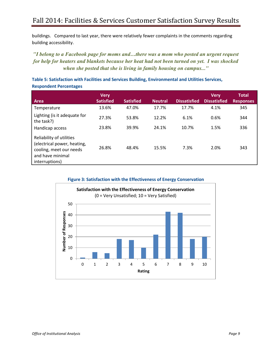buildings. Compared to last year, there were relatively fewer complaints in the comments regarding building accessibility.

*"I belong to a Facebook page for moms and…there was a mom who posted an urgent request for help for heaters and blankets because her heat had not been turned on yet. I was shocked when she posted that she is living in family housing on campus..."*

<span id="page-9-0"></span>**Table 5: Satisfaction with Facilities and Services Building, Environmental and Utilities Services, Respondent Percentages** 

| Area                                                                                                                     | <b>Very</b><br><b>Satisfied</b> | <b>Satisfied</b> | <b>Neutral</b> | <b>Dissatisfied</b> | <b>Very</b><br><b>Dissatisfied</b> | <b>Total</b><br><b>Responses</b> |
|--------------------------------------------------------------------------------------------------------------------------|---------------------------------|------------------|----------------|---------------------|------------------------------------|----------------------------------|
| Temperature                                                                                                              | 13.6%                           | 47.0%            | 17.7%          | 17.7%               | 4.1%                               | 345                              |
| Lighting (is it adequate for<br>the task?)                                                                               | 27.3%                           | 53.8%            | 12.2%          | 6.1%                | 0.6%                               | 344                              |
| Handicap access                                                                                                          | 23.8%                           | 39.9%            | 24.1%          | 10.7%               | 1.5%                               | 336                              |
| Reliability of utilities<br>(electrical power, heating,<br>cooling, meet our needs<br>and have minimal<br>interruptions) | 26.8%                           | 48.4%            | 15.5%          | 7.3%                | 2.0%                               | 343                              |

**Figure 3: Satisfaction with the Effectiveness of Energy Conservation** 

<span id="page-9-1"></span>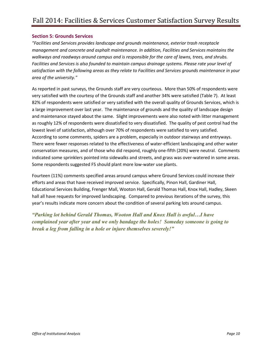# <span id="page-10-0"></span>**Section 5: Grounds Services**

*"Facilities and Services provides landscape and grounds maintenance, exterior trash receptacle management and concrete and asphalt maintenance. In addition, Facilities and Services maintains the walkways and roadways around campus and is responsible for the care of lawns, trees, and shrubs. Facilities and Services is also founded to maintain campus drainage systems. Please rate your level of satisfaction with the following areas as they relate to Facilities and Services grounds maintenance in your area of the university."* 

As reported in past surveys, the Grounds staff are very courteous. More than 50% of respondents were very satisfied with the courtesy of the Grounds staff and another 34% were satisfied (Table 7). At least 82% of respondents were satisfied or very satisfied with the overall quality of Grounds Services, which is a large improvement over last year. The maintenance of grounds and the quality of landscape design and maintenance stayed about the same. Slight improvements were also noted with litter management as roughly 12% of respondents were dissatisfied to very dissatisfied. The quality of pest control had the lowest level of satisfaction, although over 70% of respondents were satisfied to very satisfied. According to some comments, spiders are a problem, especially in outdoor stairways and entryways. There were fewer responses related to the effectiveness of water-efficient landscaping and other water conservation measures, and of those who did respond, roughly one-fifth (20%) were neutral. Comments indicated some sprinklers pointed into sidewalks and streets, and grass was over-watered in some areas. Some respondents suggested FS should plant more low-water use plants.

Fourteen (11%) comments specified areas around campus where Ground Services could increase their efforts and areas that have received improved service. Specifically, Pinon Hall, Gardiner Hall, Educational Services Building, Frenger Mall, Wooton Hall, Gerald Thomas Hall, Knox Hall, Hadley, Skeen hall all have requests for improved landscaping. Compared to previous iterations of the survey, this year's results indicate more concern about the condition of several parking lots around campus.

*"Parking lot behind Gerald Thomas, Wooton Hall and Knox Hall is awful…I have complained year after year and we only bandage the holes! Someday someone is going to break a leg from falling in a hole or injure themselves severely!"*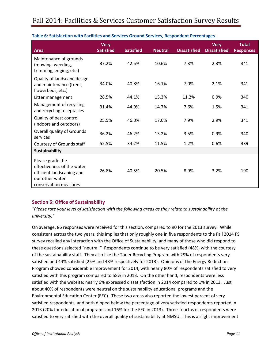| <b>Area</b>                                                                                                             | <b>Very</b><br><b>Satisfied</b> | <b>Satisfied</b> | <b>Neutral</b> | <b>Dissatisfied</b> | <b>Very</b><br><b>Dissatisfied</b> | <b>Total</b><br><b>Responses</b> |
|-------------------------------------------------------------------------------------------------------------------------|---------------------------------|------------------|----------------|---------------------|------------------------------------|----------------------------------|
| Maintenance of grounds<br>(mowing, weeding,<br>trimming, edging, etc.)                                                  | 37.2%                           | 42.5%            | 10.6%          | 7.3%                | 2.3%                               | 341                              |
| Quality of landscape design<br>and maintenance (trees,<br>flowerbeds, etc.)                                             | 34.0%                           | 40.8%            | 16.1%          | 7.0%                | 2.1%                               | 341                              |
| Litter management                                                                                                       | 28.5%                           | 44.1%            | 15.3%          | 11.2%               | 0.9%                               | 340                              |
| Management of recycling<br>and recycling receptacles                                                                    | 31.4%                           | 44.9%            | 14.7%          | 7.6%                | 1.5%                               | 341                              |
| Quality of pest control<br>(indoors and outdoors)                                                                       | 25.5%                           | 46.0%            | 17.6%          | 7.9%                | 2.9%                               | 341                              |
| Overall quality of Grounds<br>services                                                                                  | 36.2%                           | 46.2%            | 13.2%          | 3.5%                | 0.9%                               | 340                              |
| Courtesy of Grounds staff                                                                                               | 52.5%                           | 34.2%            | 11.5%          | 1.2%                | 0.6%                               | 339                              |
| Sustainability                                                                                                          |                                 |                  |                |                     |                                    |                                  |
| Please grade the<br>effectiveness of the water<br>efficient landscaping and<br>our other water<br>conservation measures | 26.8%                           | 40.5%            | 20.5%          | 8.9%                | 3.2%                               | 190                              |

# <span id="page-11-0"></span>**Table 6: Satisfaction with Facilities and Services Ground Services, Respondent Percentages**

# <span id="page-11-1"></span>**Section 6: Office of Sustainability**

*"Please rate your level of satisfaction with the following areas as they relate to sustainability at the university."* 

On average, 86 responses were received for this section, compared to 90 for the 2013 survey. While consistent across the two years, this implies that only roughly one in five respondents to the Fall 2014 FS survey recalled any interaction with the Office of Sustainability, and many of those who did respond to these questions selected "neutral." Respondents continue to be very satisfied (48%) with the courtesy of the sustainability staff. They also like the Toner Recycling Program with 29% of respondents very satisfied and 44% satisfied (25% and 43% respectively for 2013). Opinions of the Energy Reduction Program showed considerable improvement for 2014, with nearly 80% of respondents satisfied to very satisfied with this program compared to 58% in 2013. On the other hand, respondents were less satisfied with the website; nearly 6% expressed dissatisfaction in 2014 compared to 1% in 2013. Just about 40% of respondents were neutral on the sustainability educational programs and the Environmental Education Center (EEC). These two areas also reported the lowest percent of very satisfied respondents, and both dipped below the percentage of very satisfied respondents reported in 2013 (20% for educational programs and 16% for the EEC in 2013). Three-fourths of respondents were satisfied to very satisfied with the overall quality of sustainability at NMSU. This is a slight improvement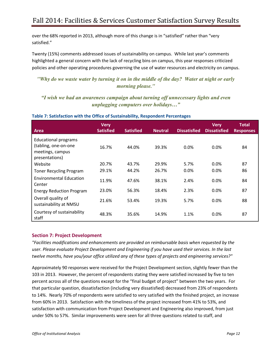over the 68% reported in 2013, although more of this change is in "satisfied" rather than "very satisfied."

Twenty (15%) comments addressed issues of sustainability on campus. While last year's comments highlighted a general concern with the lack of recycling bins on campus, this year responses criticized policies and other operating procedures governing the use of water resources and electricity on campus.

# *"Why do we waste water by turning it on in the middle of the day? Water at night or early morning please."*

*"I wish we had an awareness campaign about turning off unnecessary lights and even unplugging computers over holidays…"*

| Area                                                                                      | <b>Very</b><br><b>Satisfied</b> | <b>Satisfied</b> | <b>Neutral</b> | <b>Dissatisfied</b> | <b>Very</b><br><b>Dissatisfied</b> | <b>Total</b><br><b>Responses</b> |
|-------------------------------------------------------------------------------------------|---------------------------------|------------------|----------------|---------------------|------------------------------------|----------------------------------|
| <b>Educational programs</b><br>(tabling, one-on-one<br>meetings, campus<br>presentations) | 16.7%                           | 44.0%            | 39.3%          | $0.0\%$             | $0.0\%$                            | 84                               |
| Website                                                                                   | 20.7%                           | 43.7%            | 29.9%          | 5.7%                | $0.0\%$                            | 87                               |
| <b>Toner Recycling Program</b>                                                            | 29.1%                           | 44.2%            | 26.7%          | 0.0%                | 0.0%                               | 86                               |
| <b>Environmental Education</b><br>Center                                                  | 11.9%                           | 47.6%            | 38.1%          | 2.4%                | 0.0%                               | 84                               |
| <b>Energy Reduction Program</b>                                                           | 23.0%                           | 56.3%            | 18.4%          | 2.3%                | 0.0%                               | 87                               |
| Overall quality of<br>sustainability at NMSU                                              | 21.6%                           | 53.4%            | 19.3%          | 5.7%                | 0.0%                               | 88                               |
| Courtesy of sustainability<br>staff                                                       | 48.3%                           | 35.6%            | 14.9%          | 1.1%                | 0.0%                               | 87                               |

#### <span id="page-12-0"></span>**Table 7: Satisfaction with the Office of Sustainability, Respondent Percentages**

# <span id="page-12-1"></span>**Section 7: Project Development**

*"Facilities modifications and enhancements are provided on reimbursable basis when requested by the user. Please evaluate Project Development and Engineering if you have used their services. In the last twelve months, have you/your office utilized any of these types of projects and engineering services?"* 

Approximately 90 responses were received for the Project Development section, slightly fewer than the 103 in 2013. However, the percent of respondents stating they were satisfied increased by five to ten percent across all of the questions except for the "final budget of project" between the two years. For that particular question, dissatisfaction (including very dissatisfied) decreased from 23% of respondents to 14%. Nearly 70% of respondents were satisfied to very satisfied with the finished project, an increase from 60% in 2013. Satisfaction with the timeliness of the project increased from 41% to 53%, and satisfaction with communication from Project Development and Engineering also improved, from just under 50% to 57%. Similar improvements were seen for all three questions related to staff, and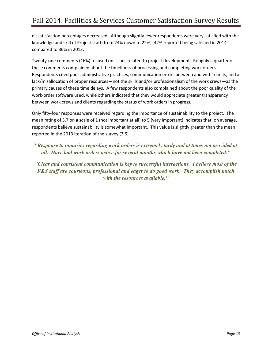dissatisfaction percentages decreased. Although slightly fewer respondents were very satisfied with the knowledge and skill of Project staff (from 24% down to 22%), 42% reported being satisfied in 2014 compared to 36% in 2013.

Twenty-one comments (16%) focused on issues related to project development. Roughly a quarter of these comments complained about the timeliness of processing and completing work orders. Respondents cited poor administrative practices, communication errors between and within units, and a lack/misallocation of proper resources—not the skills and/or professionalism of the work crews—as the primary causes of these time delays. A few respondents also complained about the poor quality of the work-order software used, while others indicated that they would appreciate greater transparency between work crews and clients regarding the status of work orders in progress.

Only fifty-four responses were received regarding the importance of sustainability to the project. The mean rating of 3.7 on a scale of 1 (not important at all) to 5 (very important) indicates that, on average, respondents believe sustainability is somewhat important. This value is slightly greater than the mean reported in the 2013 iteration of the survey (3.5).

# *"Response to inquiries regarding work orders is extremely tardy and at times not provided at all. Have had work orders active for several months which have not been completed."*

*"Clear and consistent communication is key to successful interactions. I believe most of the F&S staff are courteous, professional and eager to do good work. They accomplish much with the resources available."*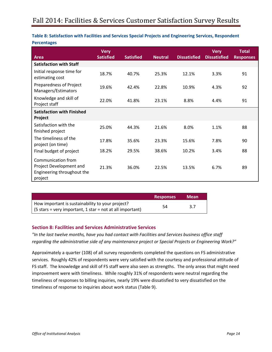<span id="page-14-0"></span>

| Table 8: Satisfaction with Facilities and Services Special Projects and Engineering Services, Respondent |  |
|----------------------------------------------------------------------------------------------------------|--|
| <b>Percentages</b>                                                                                       |  |

| Area                                                                                   | <b>Very</b><br><b>Satisfied</b> | <b>Satisfied</b> | <b>Neutral</b> | <b>Dissatisfied</b> | <b>Very</b><br><b>Dissatisfied</b> | <b>Total</b><br><b>Responses</b> |
|----------------------------------------------------------------------------------------|---------------------------------|------------------|----------------|---------------------|------------------------------------|----------------------------------|
| <b>Satisfaction with Staff</b>                                                         |                                 |                  |                |                     |                                    |                                  |
| Initial response time for<br>estimating cost                                           | 18.7%                           | 40.7%            | 25.3%          | 12.1%               | 3.3%                               | 91                               |
| Preparedness of Project<br>Managers/Estimators                                         | 19.6%                           | 42.4%            | 22.8%          | 10.9%               | 4.3%                               | 92                               |
| Knowledge and skill of<br>Project staff                                                | 22.0%                           | 41.8%            | 23.1%          | 8.8%                | 4.4%                               | 91                               |
| <b>Satisfaction with Finished</b><br>Project                                           |                                 |                  |                |                     |                                    |                                  |
| Satisfaction with the<br>finished project                                              | 25.0%                           | 44.3%            | 21.6%          | 8.0%                | 1.1%                               | 88                               |
| The timeliness of the<br>project (on time)                                             | 17.8%                           | 35.6%            | 23.3%          | 15.6%               | 7.8%                               | 90                               |
| Final budget of project                                                                | 18.2%                           | 29.5%            | 38.6%          | 10.2%               | 3.4%                               | 88                               |
| Communication from<br>Project Development and<br>Engineering throughout the<br>project | 21.3%                           | 36.0%            | 22.5%          | 13.5%               | 6.7%                               | 89                               |

|                                                                                                                      | <b>Responses</b> | <b>Mean</b> |
|----------------------------------------------------------------------------------------------------------------------|------------------|-------------|
| How important is sustainability to your project?<br>$\mid$ (5 stars = very important, 1 star = not at all important) | 54               | 3.7         |

#### <span id="page-14-1"></span>**Section 8: Facilities and Services Administrative Services**

*"In the last twelve months, have you had contact with Facilities and Services business office staff regarding the administrative side of any maintenance project or Special Projects or Engineering Work?"* 

Approximately a quarter (108) of all survey respondents completed the questions on FS administrative services. Roughly 42% of respondents were very satisfied with the courtesy and professional attitude of FS staff. The knowledge and skill of FS staff were also seen as strengths. The only areas that might need improvement were with timeliness. While roughly 31% of respondents were neutral regarding the timeliness of responses to billing inquiries, nearly 19% were dissatisfied to very dissatisfied on the timeliness of response to inquiries about work status (Table 9).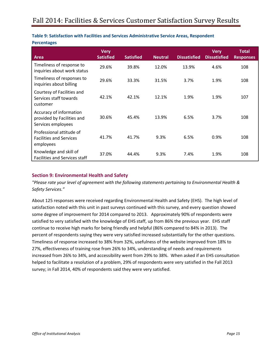| Area                                                                        | <b>Very</b><br><b>Satisfied</b> | <b>Satisfied</b> | <b>Neutral</b> | <b>Dissatisfied</b> | <b>Very</b><br><b>Dissatisfied</b> | <b>Total</b><br><b>Responses</b> |
|-----------------------------------------------------------------------------|---------------------------------|------------------|----------------|---------------------|------------------------------------|----------------------------------|
| Timeliness of response to<br>inquiries about work status                    | 29.6%                           | 39.8%            | 12.0%          | 13.9%               | 4.6%                               | 108                              |
| Timeliness of responses to<br>inquiries about billing                       | 29.6%                           | 33.3%            | 31.5%          | 3.7%                | 1.9%                               | 108                              |
| Courtesy of Facilities and<br>Services staff towards<br>customer            | 42.1%                           | 42.1%            | 12.1%          | 1.9%                | 1.9%                               | 107                              |
| Accuracy of information<br>provided by Facilities and<br>Services employees | 30.6%                           | 45.4%            | 13.9%          | 6.5%                | 3.7%                               | 108                              |
| Professional attitude of<br><b>Facilities and Services</b><br>employees     | 41.7%                           | 41.7%            | 9.3%           | 6.5%                | 0.9%                               | 108                              |
| Knowledge and skill of<br><b>Facilities and Services staff</b>              | 37.0%                           | 44.4%            | 9.3%           | 7.4%                | 1.9%                               | 108                              |

# <span id="page-15-0"></span>**Table 9: Satisfaction with Facilities and Services Administrative Service Areas, Respondent**

## <span id="page-15-1"></span>**Section 9: Environmental Health and Safety**

**Percentages** 

*"Please rate your level of agreement with the following statements pertaining to Environmental Health &*  Safety Services.<sup>"</sup>

<span id="page-15-2"></span>About 125 responses were received regarding Environmental Health and Safety (EHS). The high level of satisfaction noted with this unit in past surveys continued with this survey, and every question showed some degree of improvement for 2014 compared to 2013. Approximately 90% of respondents were satisfied to very satisfied with the knowledge of EHS staff, up from 86% the previous year. EHS staff continue to receive high marks for being friendly and helpful (86% compared to 84% in 2013). The percent of respondents saying they were very satisfied increased substantially for the other questions. Timeliness of response increased to 38% from 32%, usefulness of the website improved from 18% to 27%, effectiveness of training rose from 26% to 34%, understanding of needs and requirements increased from 26% to 34%, and accessibility went from 29% to 38%. When asked if an EHS consultation helped to facilitate a resolution of a problem, 29% of respondents were very satisfied in the Fall 2013 survey; in Fall 2014, 40% of respondents said they were very satisfied.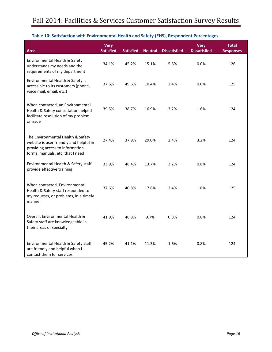| Area                                                                                                                                                 | <b>Very</b><br><b>Satisfied</b> | <b>Satisfied</b> | <b>Neutral</b> | <b>Dissatisfied</b> | <b>Very</b><br><b>Dissatisfied</b> | <b>Total</b><br><b>Responses</b> |
|------------------------------------------------------------------------------------------------------------------------------------------------------|---------------------------------|------------------|----------------|---------------------|------------------------------------|----------------------------------|
| Environmental Health & Safety<br>understands my needs and the<br>requirements of my department                                                       | 34.1%                           | 45.2%            | 15.1%          | 5.6%                | 0.0%                               | 126                              |
| Environmental Health & Safety is<br>accessible to its customers (phone,<br>voice mail, email, etc.)                                                  | 37.6%                           | 49.6%            | 10.4%          | 2.4%                | 0.0%                               | 125                              |
| When contacted, an Environmental<br>Health & Safety consultation helped<br>facilitate resolution of my problem<br>or issue                           | 39.5%                           | 38.7%            | 16.9%          | 3.2%                | 1.6%                               | 124                              |
| The Environmental Health & Safety<br>website is user friendly and helpful in<br>providing access to information,<br>forms, manuals, etc. that I need | 27.4%                           | 37.9%            | 29.0%          | 2.4%                | 3.2%                               | 124                              |
| Environmental Health & Safety staff<br>provide effective training                                                                                    | 33.9%                           | 48.4%            | 13.7%          | 3.2%                | 0.8%                               | 124                              |
| When contacted, Environmental<br>Health & Safety staff responded to<br>my requests, or problems, in a timely<br>manner                               | 37.6%                           | 40.8%            | 17.6%          | 2.4%                | 1.6%                               | 125                              |
| Overall, Environmental Health &<br>Safety staff are knowledgeable in<br>their areas of specialty                                                     | 41.9%                           | 46.8%            | 9.7%           | 0.8%                | 0.8%                               | 124                              |
| Environmental Health & Safety staff<br>are friendly and helpful when I<br>contact them for services                                                  | 45.2%                           | 41.1%            | 11.3%          | 1.6%                | 0.8%                               | 124                              |

# **Table 10: Satisfaction with Environmental Health and Safety (EHS), Respondent Percentages**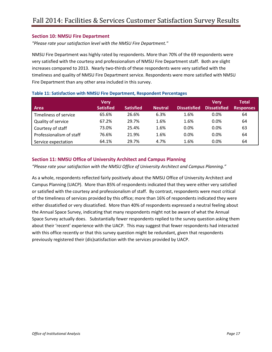# <span id="page-17-0"></span>**Section 10: NMSU Fire Department**

*"Please rate your satisfaction level with the NMSU Fire Department."* 

NMSU Fire Department was highly rated by respondents. More than 70% of the 69 respondents were very satisfied with the courtesy and professionalism of NMSU Fire Department staff. Both are slight increases compared to 2013. Nearly two-thirds of these respondents were very satisfied with the timeliness and quality of NMSU Fire Department service. Respondents were more satisfied with NMSU Fire Department than any other area included in this survey.

|                          | Verv             |                  |                |                     | <b>Verv</b>         | Total            |
|--------------------------|------------------|------------------|----------------|---------------------|---------------------|------------------|
| Area                     | <b>Satisfied</b> | <b>Satisfied</b> | <b>Neutral</b> | <b>Dissatisfied</b> | <b>Dissatisfied</b> | <b>Responses</b> |
| Timeliness of service    | 65.6%            | 26.6%            | 6.3%           | 1.6%                | 0.0%                | 64               |
| Quality of service       | 67.2%            | 29.7%            | 1.6%           | 1.6%                | 0.0%                | 64               |
| Courtesy of staff        | 73.0%            | 25.4%            | 1.6%           | $0.0\%$             | $0.0\%$             | 63               |
| Professionalism of staff | 76.6%            | 21.9%            | 1.6%           | 0.0%                | $0.0\%$             | 64               |
| Service expectation      | 64.1%            | 29.7%            | 4.7%           | 1.6%                | 0.0%                | 64               |

#### <span id="page-17-1"></span>**Table 11: Satisfaction with NMSU Fire Department, Respondent Percentages**

#### <span id="page-17-2"></span>**Section 11: NMSU Office of University Architect and Campus Planning**

"Please rate your satisfaction with the NMSU Office of University Architect and Campus Planning."

As a whole, respondents reflected fairly positively about the NMSU Office of University Architect and Campus Planning (UACP). More than 85% of respondents indicated that they were either very satisfied or satisfied with the courtesy and professionalism of staff. By contrast, respondents were most critical of the timeliness of services provided by this office; more than 16% of respondents indicated they were either dissatisfied or very dissatisfied. More than 40% of respondents expressed a neutral feeling about the Annual Space Survey, indicating that many respondents might not be aware of what the Annual Space Survey actually does. Substantially fewer respondents replied to the survey question asking them about their 'recent' experience with the UACP. This may suggest that fewer respondents had interacted with this office recently or that this survey question might be redundant, given that respondents previously registered their (dis)satisfaction with the services provided by UACP.